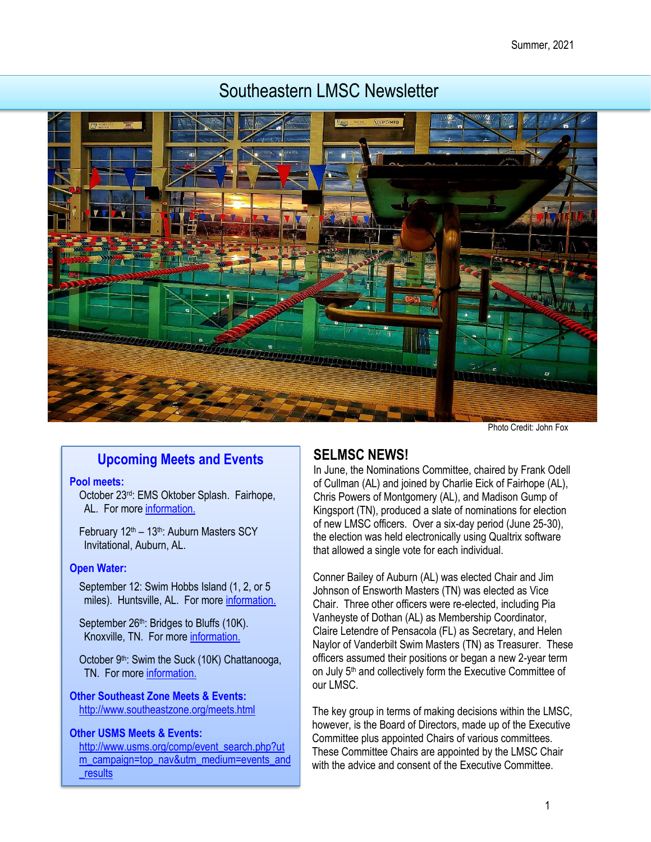# Southeastern LMSC Newsletter



Photo Credit: John Fox

# **Upcoming Meets and Events**

#### **Pool meets:**

October 23rd: EMS Oktober Splash. Fairhope, AL. For more information.

February 12<sup>th</sup> – 13<sup>th</sup>: Auburn Masters SCY Invitational, Auburn, AL.

#### **Open Water:**

September 12: Swim Hobbs Island (1, 2, or 5) miles). Huntsville, AL. For mor[e information.](https://www.usms.org/events/events/swim-hobbs-island-2020?ID=8490)

September 26<sup>th</sup>: Bridges to Bluffs (10K). Knoxville, TN. For more [information.](https://knoxvilleopen-waterswimmers.squarespace.com/new-page) 

October 9<sup>th</sup>: Swim the Suck (10K) Chattanooga, TN. For mor[e information.](http://www.swimthesuck.org/)

**Other Southeast Zone Meets & Events:**  <http://www.southeastzone.org/meets.html>

### **Other USMS Meets & Events:**

[http://www.usms.org/comp/event\\_search.php?ut](http://www.usms.org/comp/event_search.php?utm_campaign=top_nav&utm_medium=events_and_results) [m\\_campaign=top\\_nav&utm\\_medium=events\\_and](http://www.usms.org/comp/event_search.php?utm_campaign=top_nav&utm_medium=events_and_results) [\\_results](http://www.usms.org/comp/event_search.php?utm_campaign=top_nav&utm_medium=events_and_results)

### **SELMSC NEWS!**

In June, the Nominations Committee, chaired by Frank Odell of Cullman (AL) and joined by Charlie Eick of Fairhope (AL), Chris Powers of Montgomery (AL), and Madison Gump of Kingsport (TN), produced a slate of nominations for election of new LMSC officers. Over a six-day period (June 25-30), the election was held electronically using Qualtrix software that allowed a single vote for each individual.

Conner Bailey of Auburn (AL) was elected Chair and Jim Johnson of Ensworth Masters (TN) was elected as Vice Chair. Three other officers were re-elected, including Pia Vanheyste of Dothan (AL) as Membership Coordinator, Claire Letendre of Pensacola (FL) as Secretary, and Helen Naylor of Vanderbilt Swim Masters (TN) as Treasurer. These officers assumed their positions or began a new 2-year term on July 5<sup>th</sup> and collectively form the Executive Committee of our LMSC.

The key group in terms of making decisions within the LMSC, however, is the Board of Directors, made up of the Executive Committee plus appointed Chairs of various committees. These Committee Chairs are appointed by the LMSC Chair with the advice and consent of the Executive Committee.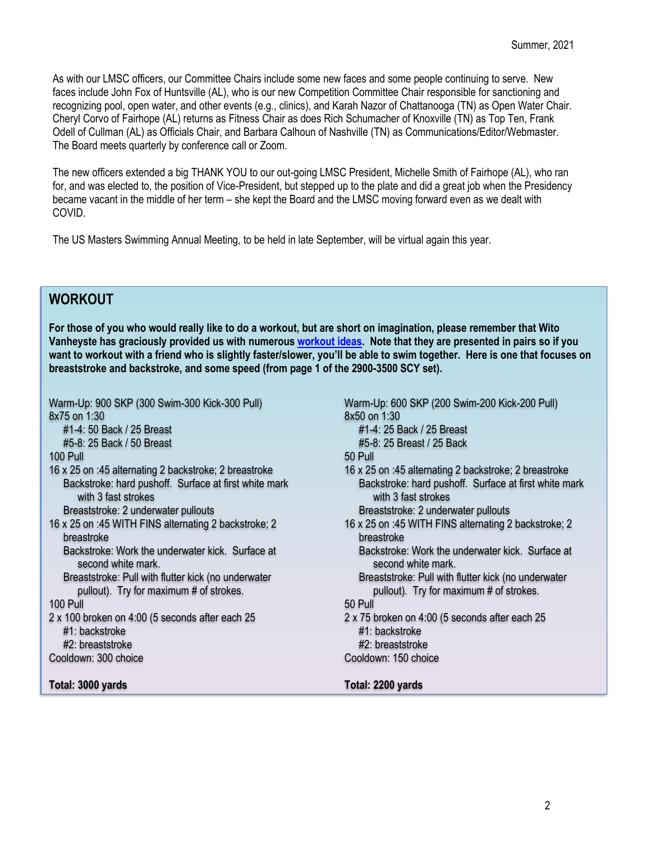As with our LMSC officers, our Committee Chairs include some new faces and some people continuing to serve. New faces include John Fox of Huntsville (AL), who is our new Competition Committee Chair responsible for sanctioning and recognizing pool, open water, and other events (e.g., clinics), and Karah Nazor of Chattanooga (TN) as Open Water Chair. Cheryl Corvo of Fairhope (AL) returns as Fitness Chair as does Rich Schumacher of Knoxville (TN) as Top Ten, Frank Odell of Cullman (AL) as Officials Chair, and Barbara Calhoun of Nashville (TN) as Communications/Editor/Webmaster. The Board meets quarterly by conference call or Zoom.

The new officers extended a big THANK YOU to our out-going LMSC President, Michelle Smith of Fairhope (AL), who ran for, and was elected to, the position of Vice-President, but stepped up to the plate and did a great job when the Presidency became vacant in the middle of her term – she kept the Board and the LMSC moving forward even as we dealt with COVID.

The US Masters Swimming Annual Meeting, to be held in late September, will be virtual again this year.

# **WORKOUT**

**For those of you who would really like to do a workout, but are short on imagination, please remember that Wito Vanheyste has graciously provided us with numerous [workout ideas.](https://www.southeasternlmsc.com/more.cfm?artid=11795&pagetitle=Documents) Note that they are presented in pairs so if you want to workout with a friend who is slightly faster/slower, you'll be able to swim together. Here is one that focuses on breaststroke and backstroke, and some speed (from page 1 of the 2900-3500 SCY set).**

Warm-Up: 900 SKP (300 Swim-300 Kick-300 Pull) 8x75 on 1:30

#1-4: 50 Back / 25 Breast

#5-8: 25 Back / 50 Breast

100 Pull

16 x 25 on :45 alternating 2 backstroke; 2 breastroke Backstroke: hard pushoff. Surface at first white mark with 3 fast strokes

Breaststroke: 2 underwater pullouts

16 x 25 on :45 WITH FINS alternating 2 backstroke; 2 breastroke

Backstroke: Work the underwater kick. Surface at second white mark

Breaststroke: Pull with flutter kick (no underwater pullout). Try for maximum # of strokes.

#### 100 Pull

2 x 100 broken on 4:00 (5 seconds after each 25 #1: backstroke #2: breaststroke

Cooldown: 300 choice

**Total: 3000 yards**

Warm-Up: 600 SKP (200 Swim-200 Kick-200 Pull) 8x50 on 1:30

- #1-4: 25 Back / 25 Breast
- #5-8: 25 Breast / 25 Back

50 Pull

- 16 x 25 on :45 alternating 2 backstroke; 2 breastroke Backstroke: hard pushoff. Surface at first white mark with 3 fast strokes Breaststroke: 2 underwater pullouts
	-
- 16 x 25 on :45 WITH FINS alternating 2 backstroke; 2 breastroke

Backstroke: Work the underwater kick. Surface at second white mark

Breaststroke: Pull with flutter kick (no underwater pullout). Try for maximum # of strokes.

### 50 Pull

- 2 x 75 broken on 4:00 (5 seconds after each 25 #1: backstroke #2: breaststroke
- Cooldown: 150 choice

#### **Total: 2200 yards**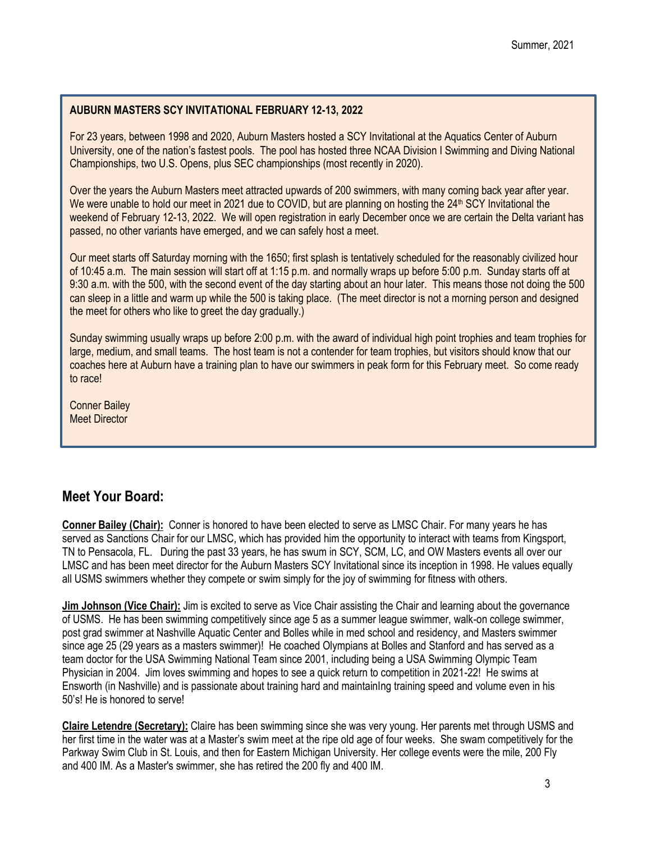### **AUBURN MASTERS SCY INVITATIONAL FEBRUARY 12-13, 2022**

For 23 years, between 1998 and 2020, Auburn Masters hosted a SCY Invitational at the Aquatics Center of Auburn University, one of the nation's fastest pools. The pool has hosted three NCAA Division I Swimming and Diving National Championships, two U.S. Opens, plus SEC championships (most recently in 2020).

Over the years the Auburn Masters meet attracted upwards of 200 swimmers, with many coming back year after year. We were unable to hold our meet in 2021 due to COVID, but are planning on hosting the 24<sup>th</sup> SCY Invitational the weekend of February 12-13, 2022. We will open registration in early December once we are certain the Delta variant has passed, no other variants have emerged, and we can safely host a meet.

Our meet starts off Saturday morning with the 1650; first splash is tentatively scheduled for the reasonably civilized hour of 10:45 a.m. The main session will start off at 1:15 p.m. and normally wraps up before 5:00 p.m. Sunday starts off at 9:30 a.m. with the 500, with the second event of the day starting about an hour later. This means those not doing the 500 can sleep in a little and warm up while the 500 is taking place. (The meet director is not a morning person and designed the meet for others who like to greet the day gradually.)

Sunday swimming usually wraps up before 2:00 p.m. with the award of individual high point trophies and team trophies for large, medium, and small teams. The host team is not a contender for team trophies, but visitors should know that our coaches here at Auburn have a training plan to have our swimmers in peak form for this February meet. So come ready to race!

Conner Bailey Meet Director

# **Meet Your Board:**

**Conner Bailey (Chair):** Conner is honored to have been elected to serve as LMSC Chair. For many years he has served as Sanctions Chair for our LMSC, which has provided him the opportunity to interact with teams from Kingsport, TN to Pensacola, FL. During the past 33 years, he has swum in SCY, SCM, LC, and OW Masters events all over our LMSC and has been meet director for the Auburn Masters SCY Invitational since its inception in 1998. He values equally all USMS swimmers whether they compete or swim simply for the joy of swimming for fitness with others.

**Jim Johnson (Vice Chair):** Jim is excited to serve as Vice Chair assisting the Chair and learning about the governance of USMS. He has been swimming competitively since age 5 as a summer league swimmer, walk-on college swimmer, post grad swimmer at Nashville Aquatic Center and Bolles while in med school and residency, and Masters swimmer since age 25 (29 years as a masters swimmer)! He coached Olympians at Bolles and Stanford and has served as a team doctor for the USA Swimming National Team since 2001, including being a USA Swimming Olympic Team Physician in 2004. Jim loves swimming and hopes to see a quick return to competition in 2021-22! He swims at Ensworth (in Nashville) and is passionate about training hard and maintainIng training speed and volume even in his 50's! He is honored to serve!

**Claire Letendre (Secretary):** Claire has been swimming since she was very young. Her parents met through USMS and her first time in the water was at a Master's swim meet at the ripe old age of four weeks. She swam competitively for the Parkway Swim Club in St. Louis, and then for Eastern Michigan University. Her college events were the mile, 200 Fly and 400 IM. As a Master's swimmer, she has retired the 200 fly and 400 IM.